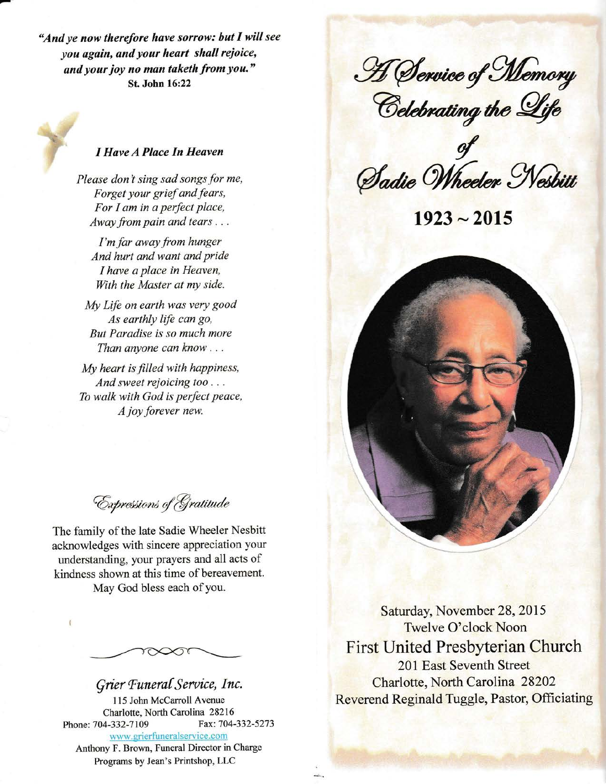"And ye now therefore have sorrow: but I will see you again, and your heart shall rejoice, and your joy no man taketh from you." St. John 16:22



## I Have A Place In Heaven

Please don't sing sad songs for me, Forget your grief and fears, For I am in a perfect place, Away from pain and tears  $\dots$ 

I'm far away from hunger And hurt and want and pride I have a place in Heaven. With the Master at my side.

My Life on earth was very good As earthly life can go, But Paradise is so much more Than anyone can know  $\dots$ 

My heart is filled with happiness, And sweet rejoicing too . . . To walk with God is perfect peace, A joy forever new.

Expressions of Gratitude

The family of the late Sadie Wheeler Nesbitt acknowledges with sincere appreciation your understanding, your prayers and all acts of kindness shown at this time of bereavement. May God bless each of you.

Grier Funeral Service, Inc. 115 John McCarroll Avenue Charlotte, North Carolina 28216 Phone: 704-332-7109 Fax: 704-332-5273 www.grierfuneralservice.com Anthony F. Brown, Funeral Director in Charge

Programs by Jean's Printshop, LLC

H Service of Memory<br>Celebrating the Life

Sadie Wheeler Nesbitt

 $1923 - 2015$ 



First United Presbyterian Church 201 East Seventh Street Charlotte, North Carolina 28202 Reverend Reginald Tuggle, Pastor, Officiating Saturday, November 28, 2015 Twelve O'clock Noon